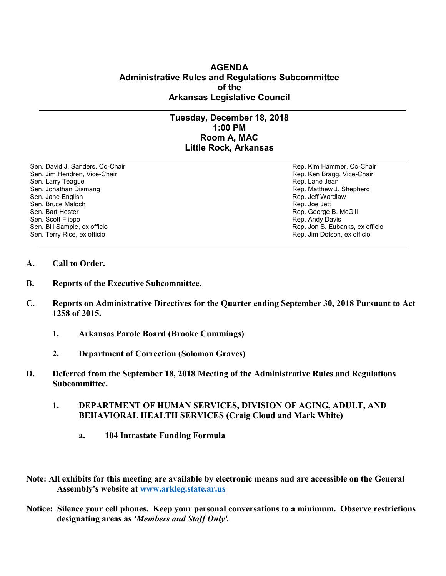## **AGENDA Administrative Rules and Regulations Subcommittee of the Arkansas Legislative Council**

## **Tuesday, December 18, 2018 1:00 PM Room A, MAC Little Rock, Arkansas**

Sen. David J. Sanders, Co-Chair **Rep. Accompanying the Community Community** Rep. Kim Hammer, Co-Chair Sen. Jim Hendren, Vice-Chair Rep. Ken Bragg, Vice-Chair Rep. Ken Bragg, Vice-Chair Sen. Larry Teague Rep. Lane Jean Controller and Sen. Lane Jean Controller and Sen. Lane Jean Controller and Se<br>Sen. Jonathan Dismang Rep. Matthew J. Sen. Jonathan Dismang and the sense of the sense of the sense of the Sen. Jonathan Dismang Rep. Matthew J. Shepherd<br>Sen. Jane English Sen. Jane English Sen. Bruce Maloch<br>Sen. Bart Hester Sen. Scott Flippo **Rep. Andy Davis** Sen. Scott Flippo Sen. Bill Sample, ex officio Rep. Jon S. Eubanks, ex officio Sen. Terry Rice, ex officio Rep. Jim Dotson, ex officio

Rep. Jeff Wardlaw<br>Rep. Joe Jett Rep. George B. McGill

- **A. Call to Order.**
- **B. Reports of the Executive Subcommittee.**
- **C. Reports on Administrative Directives for the Quarter ending September 30, 2018 Pursuant to Act 1258 of 2015.** 
	- **1. Arkansas Parole Board (Brooke Cummings)**
	- **2. Department of Correction (Solomon Graves)**
- **D. Deferred from the September 18, 2018 Meeting of the Administrative Rules and Regulations Subcommittee.**
	- **1. DEPARTMENT OF HUMAN SERVICES, DIVISION OF AGING, ADULT, AND BEHAVIORAL HEALTH SERVICES (Craig Cloud and Mark White)**
		- **a. 104 Intrastate Funding Formula**
- **Note: All exhibits for this meeting are available by electronic means and are accessible on the General Assembly's website at [www.arkleg.state.ar.us](http://www.arkleg.state.ar.us)**
- **Notice: Silence your cell phones. Keep your personal conversations to a minimum. Observe restrictions designating areas as** *'Members and Staff Only'.*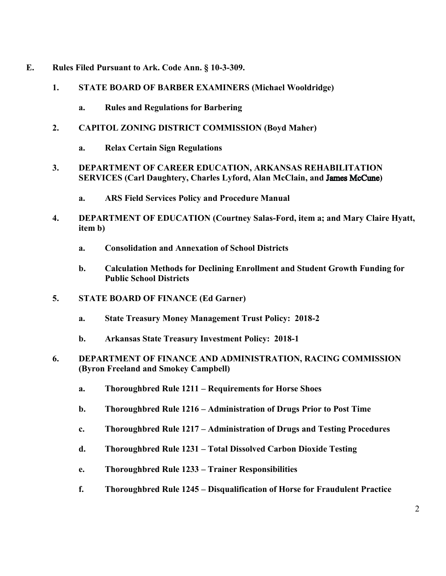- **E. Rules Filed Pursuant to Ark. Code Ann. § 10-3-309.**
	- **1. STATE BOARD OF BARBER EXAMINERS (Michael Wooldridge)**
		- **a. Rules and Regulations for Barbering**
	- **2. CAPITOL ZONING DISTRICT COMMISSION (Boyd Maher)**
		- **a. Relax Certain Sign Regulations**
	- **3. DEPARTMENT OF CAREER EDUCATION, ARKANSAS REHABILITATION SERVICES (Carl Daughtery, Charles Lyford, Alan McClain, and )**
		- **a. ARS Field Services Policy and Procedure Manual**
	- **4. DEPARTMENT OF EDUCATION (Courtney Salas-Ford, item a; and Mary Claire Hyatt, item b)**
		- **a. Consolidation and Annexation of School Districts**
		- **b. Calculation Methods for Declining Enrollment and Student Growth Funding for Public School Districts**
	- **5. STATE BOARD OF FINANCE (Ed Garner)**
		- **a. State Treasury Money Management Trust Policy: 2018-2**
		- **b. Arkansas State Treasury Investment Policy: 2018-1**
	- **6. DEPARTMENT OF FINANCE AND ADMINISTRATION, RACING COMMISSION (Byron Freeland and Smokey Campbell)**
		- **a. Thoroughbred Rule 1211 – Requirements for Horse Shoes**
		- **b. Thoroughbred Rule 1216 – Administration of Drugs Prior to Post Time**
		- **c. Thoroughbred Rule 1217 – Administration of Drugs and Testing Procedures**
		- **d. Thoroughbred Rule 1231 – Total Dissolved Carbon Dioxide Testing**
		- **e. Thoroughbred Rule 1233 – Trainer Responsibilities**
		- **f. Thoroughbred Rule 1245 – Disqualification of Horse for Fraudulent Practice**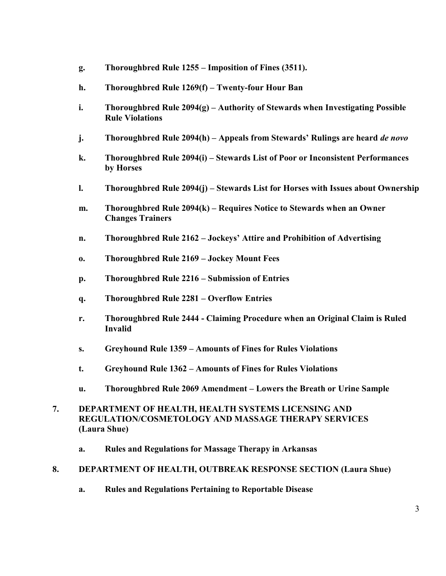- **g. Thoroughbred Rule 1255 – Imposition of Fines (3511).**
- **h. Thoroughbred Rule 1269(f) – Twenty-four Hour Ban**
- **i. Thoroughbred Rule 2094(g) – Authority of Stewards when Investigating Possible Rule Violations**
- **j. Thoroughbred Rule 2094(h) – Appeals from Stewards' Rulings are heard** *de novo*
- **k. Thoroughbred Rule 2094(i) – Stewards List of Poor or Inconsistent Performances by Horses**
- **l. Thoroughbred Rule 2094(j) – Stewards List for Horses with Issues about Ownership**
- **m. Thoroughbred Rule 2094(k) – Requires Notice to Stewards when an Owner Changes Trainers**
- **n. Thoroughbred Rule 2162 – Jockeys' Attire and Prohibition of Advertising**
- **o. Thoroughbred Rule 2169 – Jockey Mount Fees**
- **p. Thoroughbred Rule 2216 – Submission of Entries**
- **q. Thoroughbred Rule 2281 – Overflow Entries**
- **r. Thoroughbred Rule 2444 - Claiming Procedure when an Original Claim is Ruled Invalid**
- **s. Greyhound Rule 1359 – Amounts of Fines for Rules Violations**
- **t. Greyhound Rule 1362 – Amounts of Fines for Rules Violations**
- **u. Thoroughbred Rule 2069 Amendment – Lowers the Breath or Urine Sample**
- **7. DEPARTMENT OF HEALTH, HEALTH SYSTEMS LICENSING AND REGULATION/COSMETOLOGY AND MASSAGE THERAPY SERVICES (Laura Shue)**
	- **a. Rules and Regulations for Massage Therapy in Arkansas**

## **8. DEPARTMENT OF HEALTH, OUTBREAK RESPONSE SECTION (Laura Shue)**

**a. Rules and Regulations Pertaining to Reportable Disease**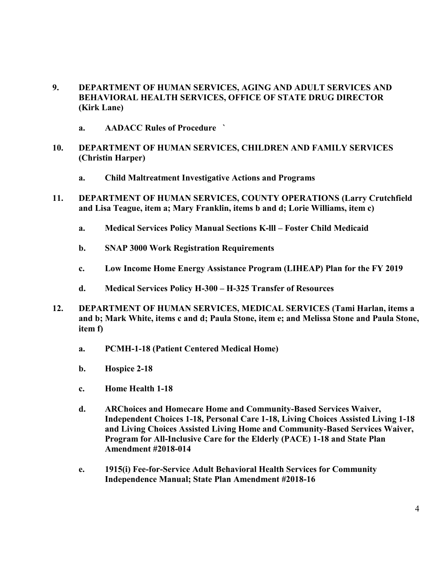- **9. DEPARTMENT OF HUMAN SERVICES, AGING AND ADULT SERVICES AND BEHAVIORAL HEALTH SERVICES, OFFICE OF STATE DRUG DIRECTOR (Kirk Lane)**
	- **a. AADACC Rules of Procedure `**
- **10. DEPARTMENT OF HUMAN SERVICES, CHILDREN AND FAMILY SERVICES (Christin Harper)**
	- **a. Child Maltreatment Investigative Actions and Programs**
- **11. DEPARTMENT OF HUMAN SERVICES, COUNTY OPERATIONS (Larry Crutchfield and Lisa Teague, item a; Mary Franklin, items b and d; Lorie Williams, item c)**
	- **a. Medical Services Policy Manual Sections K-lll – Foster Child Medicaid**
	- **b. SNAP 3000 Work Registration Requirements**
	- **c. Low Income Home Energy Assistance Program (LIHEAP) Plan for the FY 2019**
	- **d. Medical Services Policy H-300 – H-325 Transfer of Resources**
- **12. DEPARTMENT OF HUMAN SERVICES, MEDICAL SERVICES (Tami Harlan, items a and b; Mark White, items c and d; Paula Stone, item e; and Melissa Stone and Paula Stone, item f)**
	- **a. PCMH-1-18 (Patient Centered Medical Home)**
	- **b. Hospice 2-18**
	- **c. Home Health 1-18**
	- **d. ARChoices and Homecare Home and Community-Based Services Waiver, Independent Choices 1-18, Personal Care 1-18, Living Choices Assisted Living 1-18 and Living Choices Assisted Living Home and Community-Based Services Waiver, Program for All-Inclusive Care for the Elderly (PACE) 1-18 and State Plan Amendment #2018-014**
	- **e. 1915(i) Fee-for-Service Adult Behavioral Health Services for Community Independence Manual; State Plan Amendment #2018-16**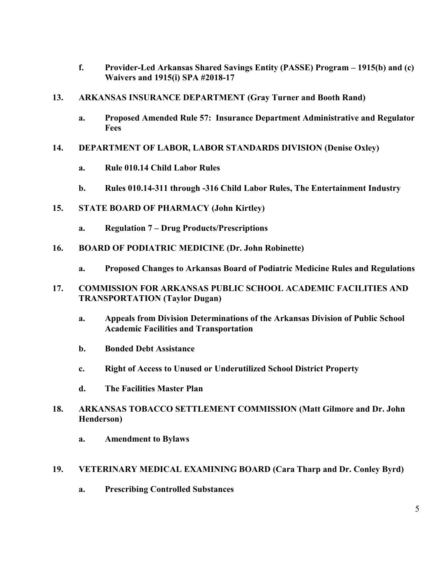- **f. Provider-Led Arkansas Shared Savings Entity (PASSE) Program – 1915(b) and (c) Waivers and 1915(i) SPA #2018-17**
- **13. ARKANSAS INSURANCE DEPARTMENT (Gray Turner and Booth Rand)**
	- **a. Proposed Amended Rule 57: Insurance Department Administrative and Regulator Fees**
- **14. DEPARTMENT OF LABOR, LABOR STANDARDS DIVISION (Denise Oxley)**
	- **a. Rule 010.14 Child Labor Rules**
	- **b. Rules 010.14-311 through -316 Child Labor Rules, The Entertainment Industry**
- **15. STATE BOARD OF PHARMACY (John Kirtley)**
	- **a. Regulation 7 – Drug Products/Prescriptions**
- **16. BOARD OF PODIATRIC MEDICINE (Dr. John Robinette)**
	- **a. Proposed Changes to Arkansas Board of Podiatric Medicine Rules and Regulations**
- **17. COMMISSION FOR ARKANSAS PUBLIC SCHOOL ACADEMIC FACILITIES AND TRANSPORTATION (Taylor Dugan)**
	- **a. Appeals from Division Determinations of the Arkansas Division of Public School Academic Facilities and Transportation**
	- **b. Bonded Debt Assistance**
	- **c. Right of Access to Unused or Underutilized School District Property**
	- **d. The Facilities Master Plan**
- **18. ARKANSAS TOBACCO SETTLEMENT COMMISSION (Matt Gilmore and Dr. John Henderson)**
	- **a. Amendment to Bylaws**

## **19. VETERINARY MEDICAL EXAMINING BOARD (Cara Tharp and Dr. Conley Byrd)**

**a. Prescribing Controlled Substances**